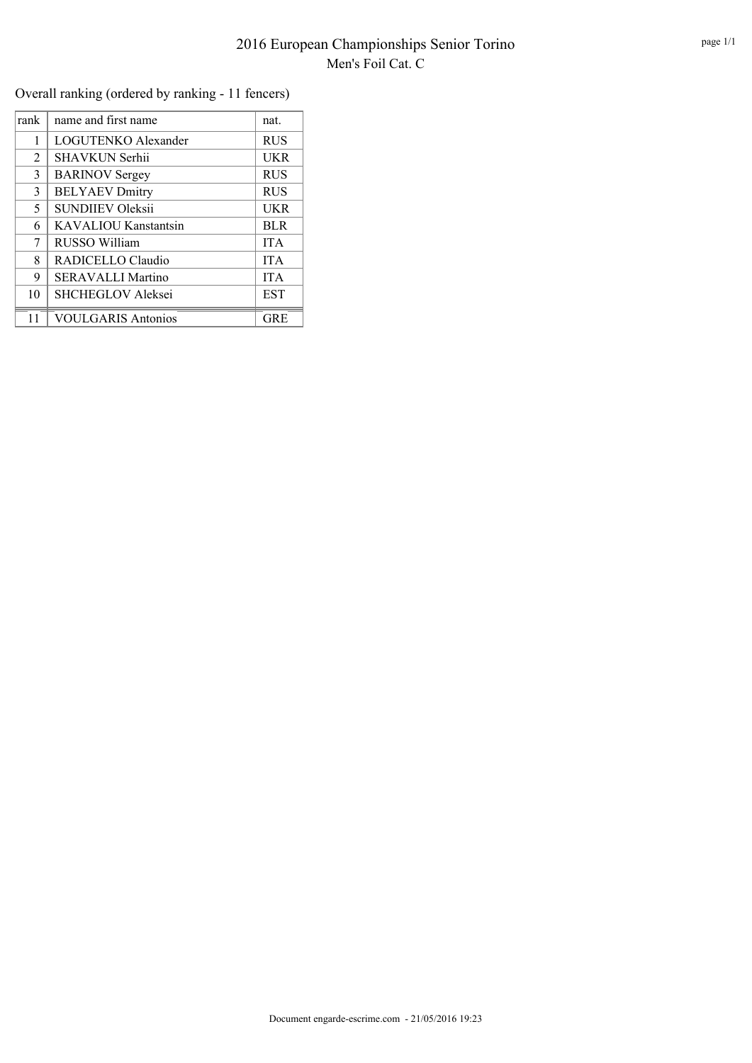Overall ranking (ordered by ranking - 11 fencers)

| rank | name and first name       | nat.       |
|------|---------------------------|------------|
| 1    | LOGUTENKO Alexander       | <b>RUS</b> |
| 2    | <b>SHAVKUN Serhii</b>     | <b>UKR</b> |
| 3    | <b>BARINOV Sergey</b>     | <b>RUS</b> |
| 3    | <b>BELYAEV Dmitry</b>     | <b>RUS</b> |
| 5    | <b>SUNDIIEV Oleksii</b>   | <b>UKR</b> |
| 6    | KAVALIOU Kanstantsin      | <b>BLR</b> |
| 7    | RUSSO William             | <b>ITA</b> |
| 8    | RADICELLO Claudio         | <b>ITA</b> |
| 9    | <b>SERAVALLI Martino</b>  | <b>ITA</b> |
| 10   | <b>SHCHEGLOV Aleksei</b>  | <b>EST</b> |
|      | <b>VOULGARIS Antonios</b> | GRE        |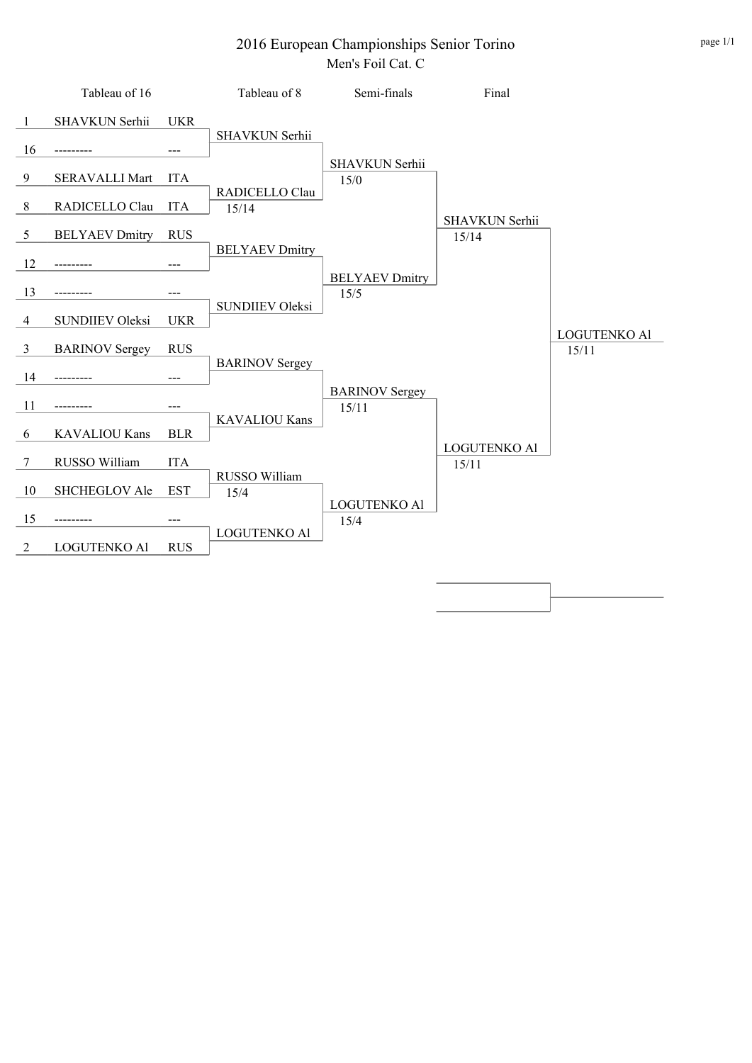## 2016 European Championships Senior Torino Men's Foil Cat. C

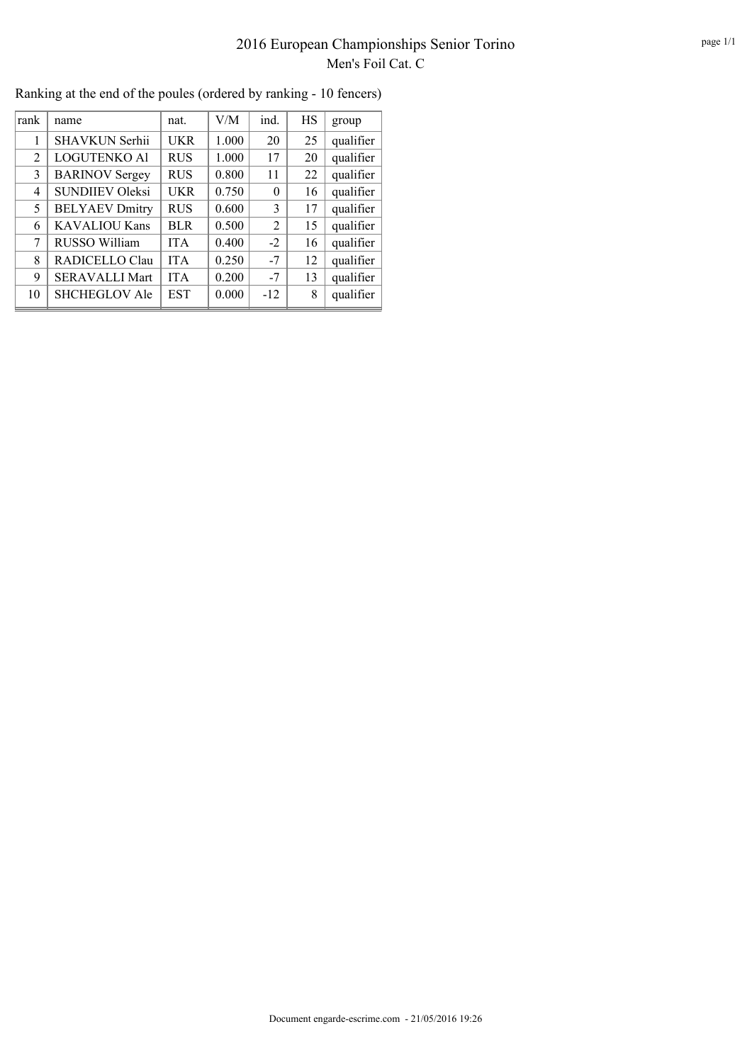## 2016 European Championships Senior Torino Men's Foil Cat. C

| rank | name                   | nat.       | V/M   | ind.     | HS | group     |
|------|------------------------|------------|-------|----------|----|-----------|
|      | SHAVKUN Serhii         | <b>UKR</b> | 1.000 | 20       | 25 | qualifier |
| 2    | <b>LOGUTENKO Al</b>    | <b>RUS</b> | 1.000 | 17       | 20 | qualifier |
| 3    | <b>BARINOV Sergey</b>  | <b>RUS</b> | 0.800 | 11       | 22 | qualifier |
| 4    | <b>SUNDIIEV Oleksi</b> | <b>UKR</b> | 0.750 | $\theta$ | 16 | qualifier |
| 5    | <b>BELYAEV Dmitry</b>  | <b>RUS</b> | 0.600 | 3        | 17 | qualifier |
| 6    | <b>KAVALIOU Kans</b>   | BLR        | 0.500 | 2        | 15 | qualifier |
| 7    | RUSSO William          | <b>ITA</b> | 0.400 | $-2$     | 16 | qualifier |
| 8    | RADICELLO Clau         | <b>ITA</b> | 0.250 | $-7$     | 12 | qualifier |
| 9    | <b>SERAVALLI Mart</b>  | <b>ITA</b> | 0.200 | $-7$     | 13 | qualifier |
| 10   | <b>SHCHEGLOV Ale</b>   | <b>EST</b> | 0.000 | $-12$    | 8  | qualifier |
|      |                        |            |       |          |    |           |

Ranking at the end of the poules (ordered by ranking - 10 fencers)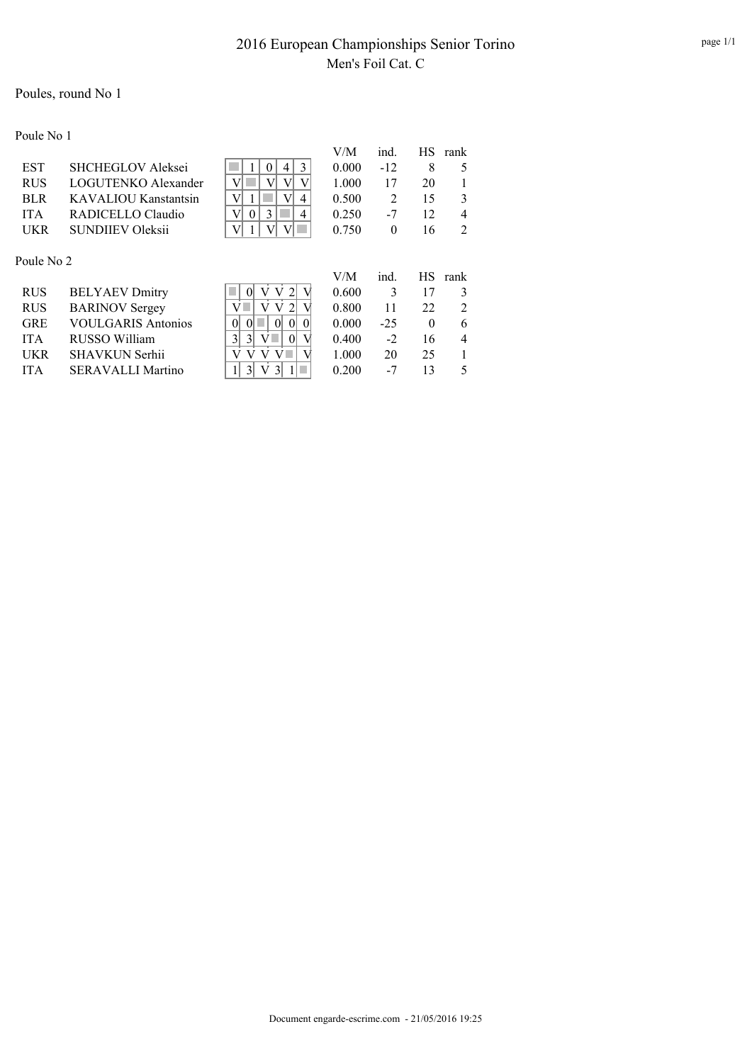## Poules, round No 1

Poule No 1

|            |                           |                                                    | V/M   | ind.           | HS.       | rank           |
|------------|---------------------------|----------------------------------------------------|-------|----------------|-----------|----------------|
| <b>EST</b> | <b>SHCHEGLOV Aleksei</b>  | 3<br>0<br>4                                        | 0.000 | $-12$          | 8         | 5              |
| <b>RUS</b> | LOGUTENKO Alexander       | V<br>V<br>V                                        | 1.000 | 17             | 20        |                |
| <b>BLR</b> | KAVALIOU Kanstantsin      | V<br>V<br>1<br>4                                   | 0.500 | $\overline{2}$ | 15        | 3              |
| <b>ITA</b> | RADICELLO Claudio         | V<br>3<br>$\Omega$<br>4                            | 0.250 | $-7$           | 12        | $\overline{4}$ |
| UKR        | <b>SUNDHEV Oleksii</b>    | V<br>V <sub>1</sub><br>V                           | 0.750 | $\theta$       | 16        | 2              |
|            |                           |                                                    |       |                |           |                |
| Poule No 2 |                           |                                                    |       |                |           |                |
|            |                           |                                                    | V/M   |                |           |                |
|            |                           |                                                    |       | ind.           | <b>HS</b> | rank           |
| <b>RUS</b> | <b>BELYAEV Dmitry</b>     | V                                                  | 0.600 | 3              | 17        | 3              |
| <b>RUS</b> | <b>BARINOV</b> Sergey     | V                                                  | 0.800 | 11             | 22        | 2              |
| <b>GRE</b> | <b>VOULGARIS Antonios</b> | $\overline{0}$<br>$\theta$<br>$\theta$<br>$\Omega$ | 0.000 | $-25$          | $\theta$  | 6              |
| <b>ITA</b> | RUSSO William             | 3 <br>V<br>3 <sup>1</sup><br>$\vert$ 0             | 0.400 | $-2$           | 16        | $\overline{4}$ |
| UKR        | <b>SHAVKUN Serhii</b>     |                                                    | 1.000 | 20             | 25        |                |
| <b>ITA</b> | <b>SERAVALLI Martino</b>  |                                                    | 0.200 | -7             | 13        | 5              |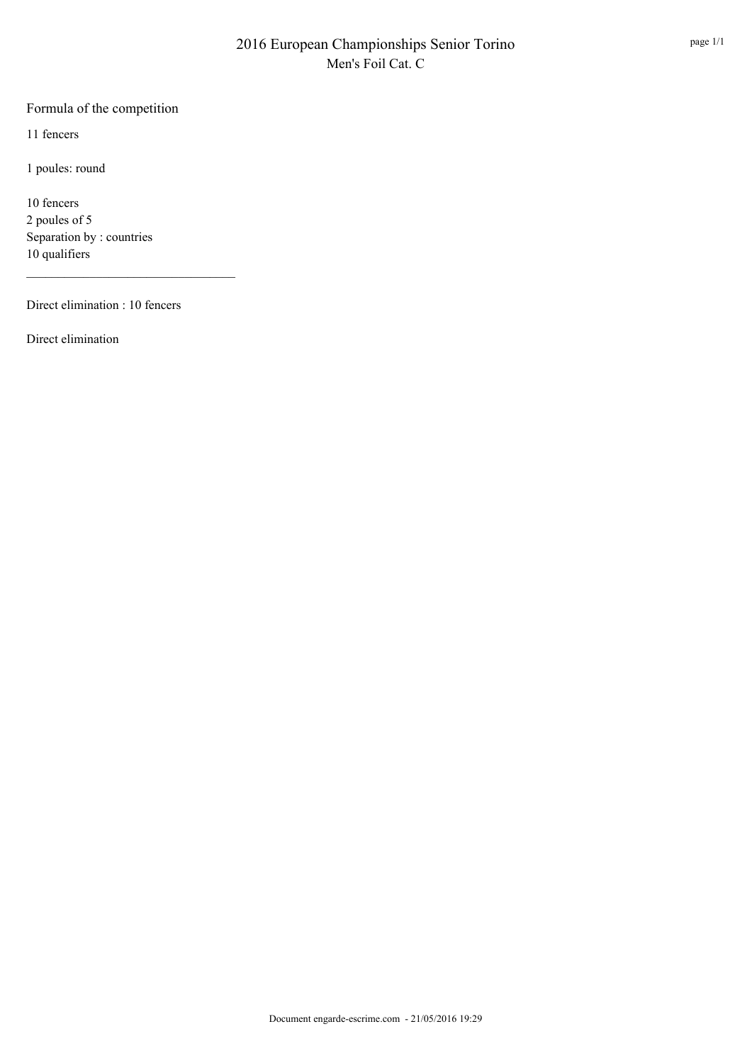## Formula of the competition

11 fencers

1 poules: round

10 fencers 2 poules of 5 Separation by : countries 10 qualifiers

Direct elimination : 10 fencers

Direct elimination